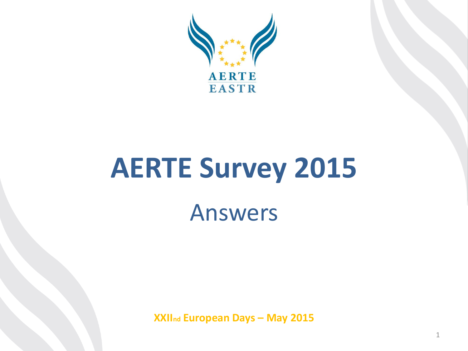

# **AERTE Survey 2015** Answers

**XXIInd European Days – May 2015**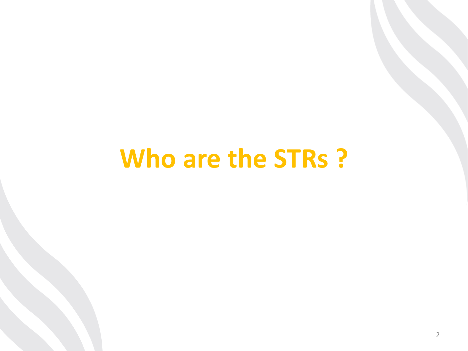## **Who are the STRs ?**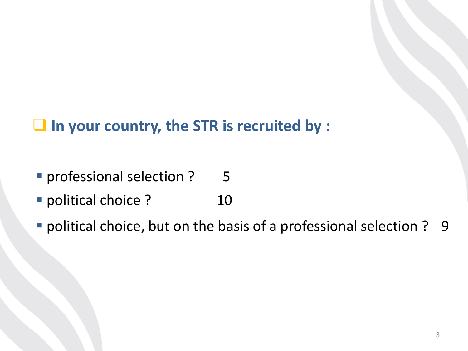## **In your country, the STR is recruited by :**

- professional selection ? 5
- **P** political choice ? 10
- political choice, but on the basis of a professional selection ? 9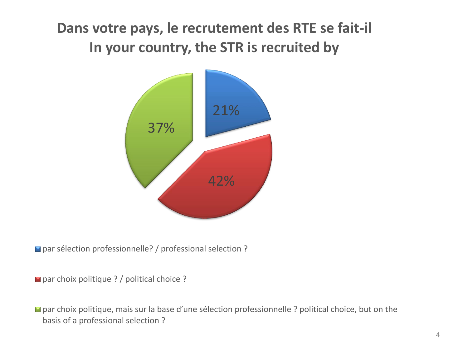## **Dans votre pays, le recrutement des RTE se fait-il In your country, the STR is recruited by**



■ par sélection professionnelle? / professional selection ?

■ par choix politique ? / political choice ?

■ par choix politique, mais sur la base d'une sélection professionnelle ? political choice, but on the basis of a professional selection ?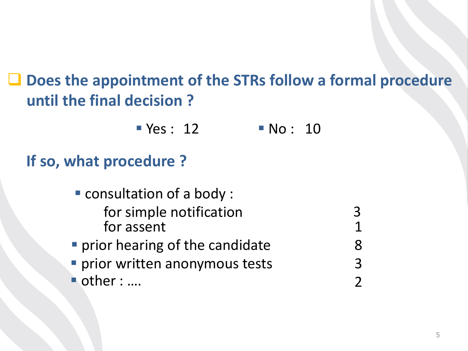## **Does the appointment of the STRs follow a formal procedure until the final decision ?**

 $\blacksquare$  Yes : 12  $\blacksquare$  No : 10

## **If so, what procedure ?**

■ other : .... consultation of a body : for simple notification for assent **Perior hearing of the candidate Perior written anonymous tests** 3 1 8 3 2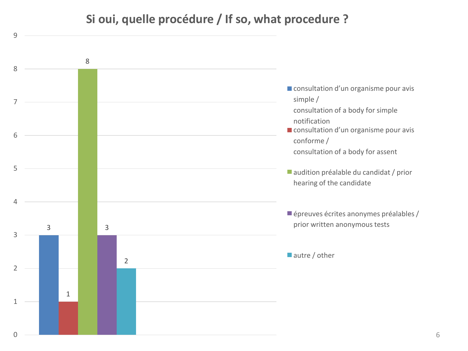#### **Si oui, quelle procédure / If so, what procedure ?**

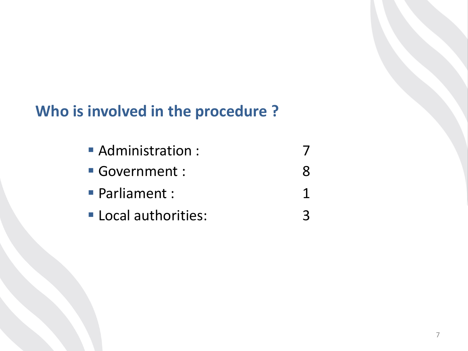## **Who is involved in the procedure ?**

| Administration:    |  |
|--------------------|--|
| Government :       |  |
| • Parliament :     |  |
| Local authorities: |  |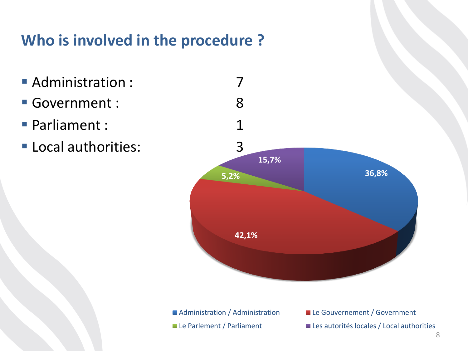## **Who is involved in the procedure ?**

- **Administration:**
- Government :
- Parliament :
- **Local authorities:**



■ Administration / Administration Le Gouvernement / Government Le Parlement / Parliament Les autorités locales / Local authorities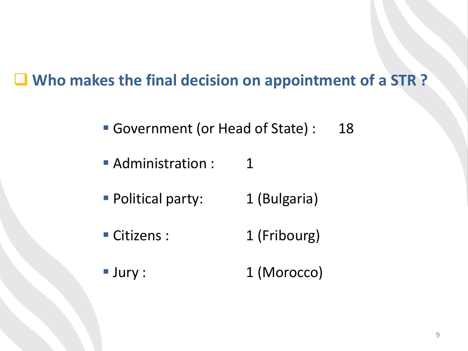## **Who makes the final decision on appointment of a STR ?**

- Government (or Head of State) : 18
- **Administration:** 1
- **Political party:** 1 (Bulgaria)
- Citizens : 1 (Fribourg)
- **Jury : 1 (Morocco)**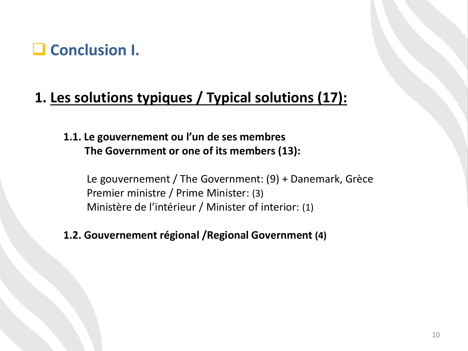

#### **1. Les solutions typiques / Typical solutions (17):**

**1.1. Le gouvernement ou l'un de ses membres The Government or one of its members (13):**

Le gouvernement / The Government: (9) + Danemark, Grèce Premier ministre / Prime Minister: (3) Ministère de l'intérieur / Minister of interior: (1)

#### **1.2. Gouvernement régional /Regional Government (4)**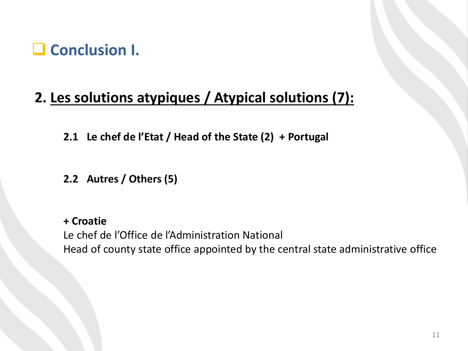

#### **2. Les solutions atypiques / Atypical solutions (7):**

**2.1 Le chef de l'Etat / Head of the State (2) + Portugal**

**2.2 Autres / Others (5)**

**+ Croatie** Le chef de l'Office de l'Administration National Head of county state office appointed by the central state administrative office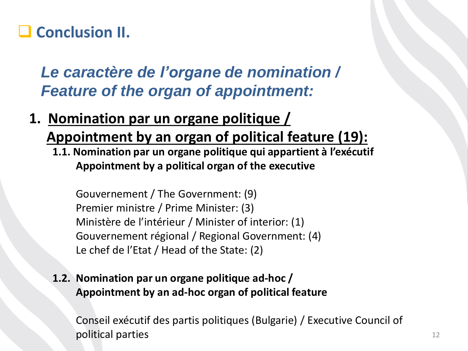## **Conclusion II.**

*Le caractère de l'organe de nomination / Feature of the organ of appointment:*

- **1. Nomination par un organe politique / Appointment by an organ of political feature (19):**
	- **1.1. Nomination par un organe politique qui appartient à l'exécutif Appointment by a political organ of the executive**

Gouvernement / The Government: (9) Premier ministre / Prime Minister: (3) Ministère de l'intérieur / Minister of interior: (1) Gouvernement régional / Regional Government: (4) Le chef de l'Etat / Head of the State: (2)

**1.2. Nomination par un organe politique ad-hoc / Appointment by an ad-hoc organ of political feature**

Conseil exécutif des partis politiques (Bulgarie) / Executive Council of political parties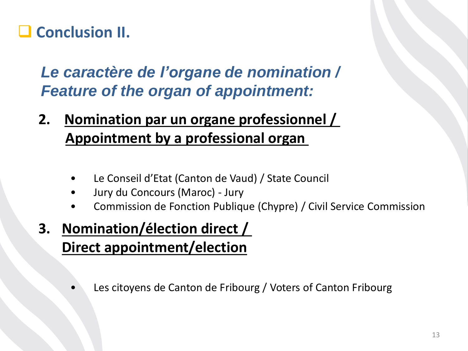## **Conclusion II.**

*Le caractère de l'organe de nomination / Feature of the organ of appointment:*

- **2. Nomination par un organe professionnel / Appointment by a professional organ**
	- Le Conseil d'Etat (Canton de Vaud) / State Council
	- Jury du Concours (Maroc) Jury
	- Commission de Fonction Publique (Chypre) / Civil Service Commission
- **3. Nomination/élection direct / Direct appointment/election**
	- Les citoyens de Canton de Fribourg / Voters of Canton Fribourg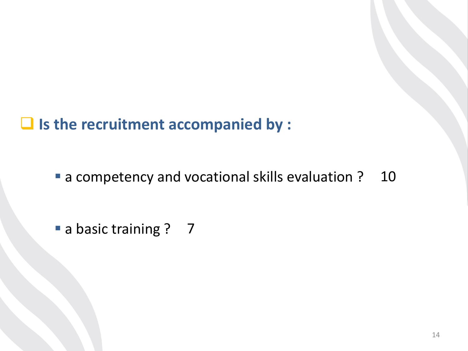**Is the recruitment accompanied by :**

■ a competency and vocational skills evaluation ? 10

a basic training ? 7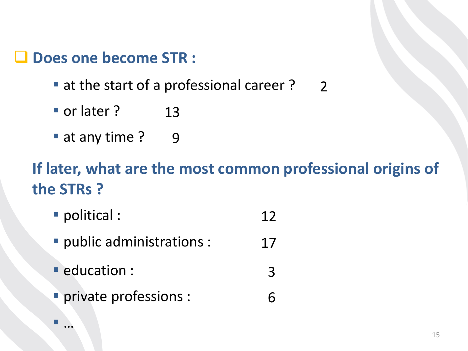#### **Does one become STR :**

- at the start of a professional career? 2
- or later? 13
- at any time? 9

## **If later, what are the most common professional origins of the STRs ?**

6

- political : 12
- public administrations : 17
- education : 3
- **Perivate professions:**

…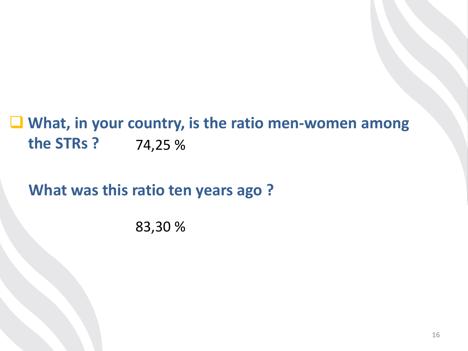## **What, in your country, is the ratio men-women among the STRs ?** 74,25 %

**What was this ratio ten years ago ?**

83,30 %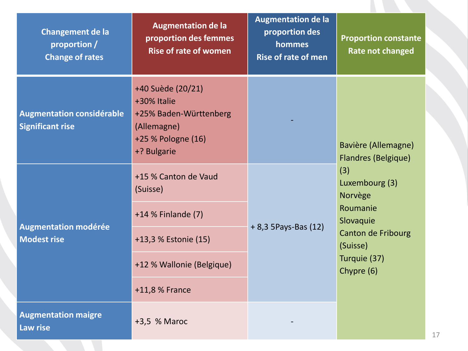| Changement de la<br>proportion /<br><b>Change of rates</b>  | <b>Augmentation de la</b><br>proportion des femmes<br><b>Rise of rate of women</b>                             | <b>Augmentation de la</b><br>proportion des<br>hommes<br><b>Rise of rate of men</b> | <b>Proportion constante</b><br><b>Rate not changed</b>                                                                                                                                       |
|-------------------------------------------------------------|----------------------------------------------------------------------------------------------------------------|-------------------------------------------------------------------------------------|----------------------------------------------------------------------------------------------------------------------------------------------------------------------------------------------|
| <b>Augmentation considérable</b><br><b>Significant rise</b> | +40 Suède (20/21)<br>+30% Italie<br>+25% Baden-Württenberg<br>(Allemagne)<br>+25 % Pologne (16)<br>+? Bulgarie |                                                                                     | <b>Bavière (Allemagne)</b><br><b>Flandres (Belgique)</b><br>(3)<br>Luxembourg (3)<br>Norvège<br>Roumanie<br>Slovaquie<br><b>Canton de Fribourg</b><br>(Suisse)<br>Turquie (37)<br>Chypre (6) |
| <b>Augmentation modérée</b><br><b>Modest rise</b>           | +15 % Canton de Vaud<br>(Suisse)                                                                               | $+8,35$ Pays-Bas (12)                                                               |                                                                                                                                                                                              |
|                                                             | +14 % Finlande (7)                                                                                             |                                                                                     |                                                                                                                                                                                              |
|                                                             | +13,3 % Estonie (15)                                                                                           |                                                                                     |                                                                                                                                                                                              |
|                                                             | +12 % Wallonie (Belgique)                                                                                      |                                                                                     |                                                                                                                                                                                              |
|                                                             | +11,8 % France                                                                                                 |                                                                                     |                                                                                                                                                                                              |
| <b>Augmentation maigre</b><br><b>Law rise</b>               | +3,5 % Maroc                                                                                                   |                                                                                     |                                                                                                                                                                                              |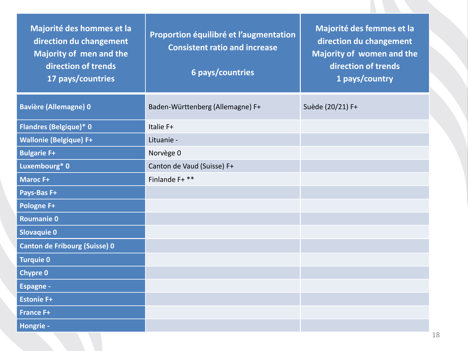| Majorité des hommes et la<br>direction du changement<br><b>Majority of men and the</b><br>direction of trends<br>17 pays/countries | Proportion équilibré et l'augmentation<br><b>Consistent ratio and increase</b><br>6 pays/countries | Majorité des femmes et la<br>direction du changement<br><b>Majority of women and the</b><br>direction of trends<br>1 pays/country |
|------------------------------------------------------------------------------------------------------------------------------------|----------------------------------------------------------------------------------------------------|-----------------------------------------------------------------------------------------------------------------------------------|
| <b>Bavière (Allemagne) 0</b>                                                                                                       | Baden-Württenberg (Allemagne) F+                                                                   | Suède (20/21) F+                                                                                                                  |
| <b>Flandres (Belgique)* 0</b>                                                                                                      | Italie F+                                                                                          |                                                                                                                                   |
| <b>Wallonie (Belgique) F+</b>                                                                                                      | Lituanie -                                                                                         |                                                                                                                                   |
| <b>Bulgarie F+</b>                                                                                                                 | Norvège 0                                                                                          |                                                                                                                                   |
| Luxembourg* 0                                                                                                                      | Canton de Vaud (Suisse) F+                                                                         |                                                                                                                                   |
| <b>Maroc F+</b>                                                                                                                    | Finlande F+ **                                                                                     |                                                                                                                                   |
| Pays-Bas F+                                                                                                                        |                                                                                                    |                                                                                                                                   |
| Pologne F+                                                                                                                         |                                                                                                    |                                                                                                                                   |
| <b>Roumanie 0</b>                                                                                                                  |                                                                                                    |                                                                                                                                   |
| <b>Slovaquie 0</b>                                                                                                                 |                                                                                                    |                                                                                                                                   |
| <b>Canton de Fribourg (Suisse) 0</b>                                                                                               |                                                                                                    |                                                                                                                                   |
| <b>Turquie 0</b>                                                                                                                   |                                                                                                    |                                                                                                                                   |
| <b>Chypre 0</b>                                                                                                                    |                                                                                                    |                                                                                                                                   |
| <b>Espagne -</b>                                                                                                                   |                                                                                                    |                                                                                                                                   |
| <b>Estonie F+</b>                                                                                                                  |                                                                                                    |                                                                                                                                   |
| <b>France F+</b>                                                                                                                   |                                                                                                    |                                                                                                                                   |
| Hongrie -                                                                                                                          |                                                                                                    |                                                                                                                                   |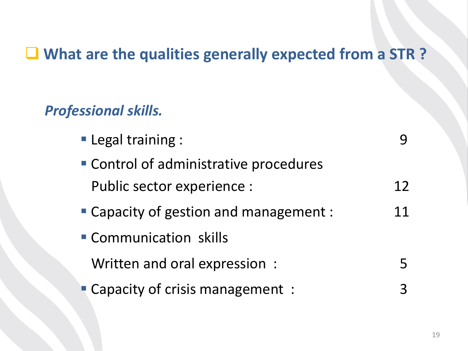## **What are the qualities generally expected from a STR ?**

### *Professional skills.*

| <b>Legal training:</b>                 |    |
|----------------------------------------|----|
| • Control of administrative procedures |    |
| Public sector experience :             | 12 |
| • Capacity of gestion and management : | 11 |
| Communication skills                   |    |
| Written and oral expression:           |    |
| • Capacity of crisis management:       |    |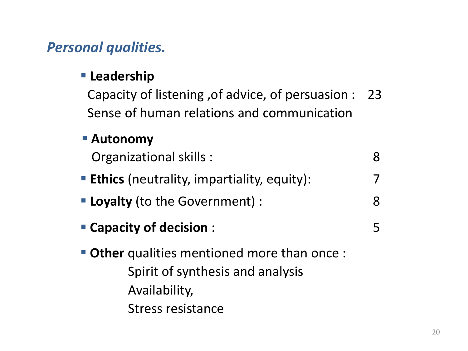#### *Personal qualities.*

#### **Leadership**

Capacity of listening ,of advice, of persuasion : Sense of human relations and communication 23

#### **Autonomy**

Organizational skills :

- **Ethics** (neutrality, impartiality, equity):
- **Loyalty** (to the Government) : 8
- **Capacity of decision** :

 **Other** qualities mentioned more than once : Spirit of synthesis and analysis Availability, Stress resistance

7

8

5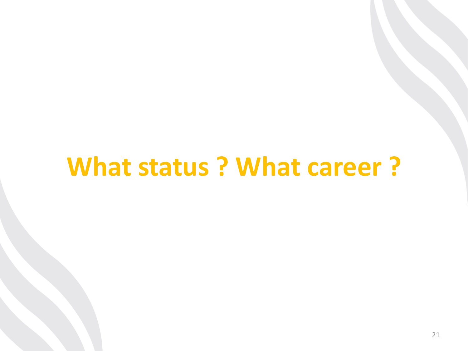## **What status ? What career ?**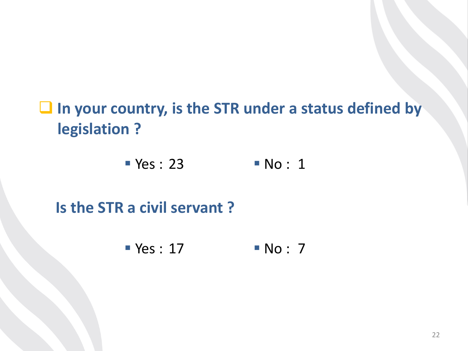## **In your country, is the STR under a status defined by legislation ?**

 $Yes : 23$  No: 1

### **Is the STR a civil servant ?**

Yes : 17 No : 7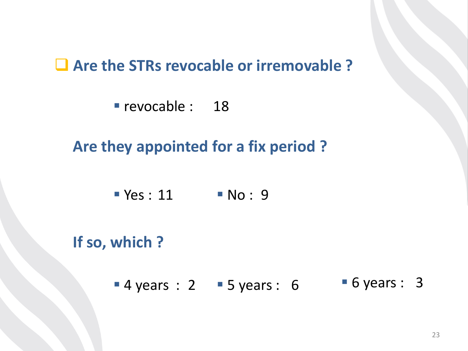#### **Are the STRs revocable or irremovable ?**

revocable : 18

**Are they appointed for a fix period ?**

 $Yes: 11$  No: 9

**If so, which ?**

 $-4$  years : 2  $-5$  years : 6 • 6 years : 3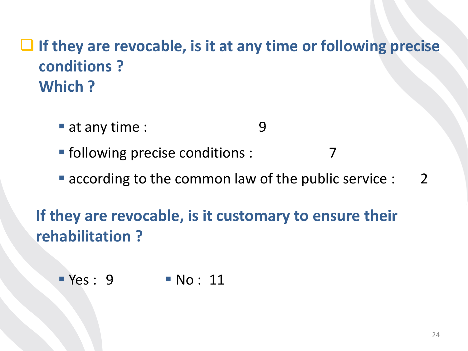## **If they are revocable, is it at any time or following precise conditions ? Which ?**

- at any time : 9
- **Firmalle 1** following precise conditions : 7
- according to the common law of the public service : 2

**If they are revocable, is it customary to ensure their rehabilitation ?**

Yes : 9 No : 11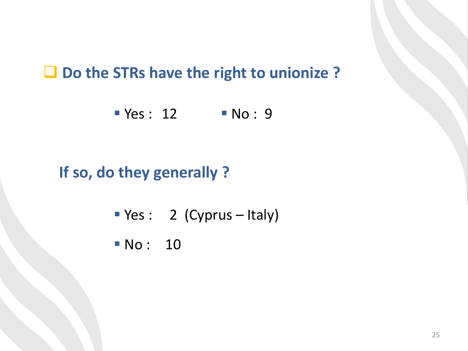#### **Do the STRs have the right to unionize ?**

 $Yes : 12$   $No : 9$ 

## **If so, do they generally ?**

- Ves : 2 (Cyprus Italy)
- **No: 10**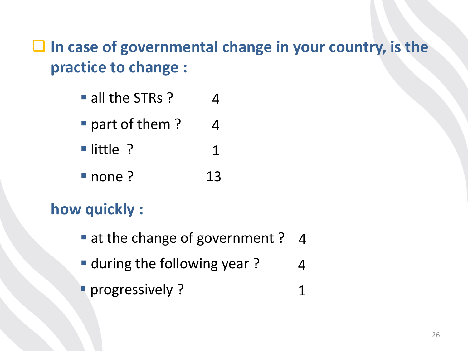## **In case of governmental change in your country, is the practice to change :**

- all the STRs? 4
- part of them? 4
- little ? 1
- none ? 13

## **how quickly :**

- at the change of government ? 4
- **during the following year?** 4
- **Progressively ?** 1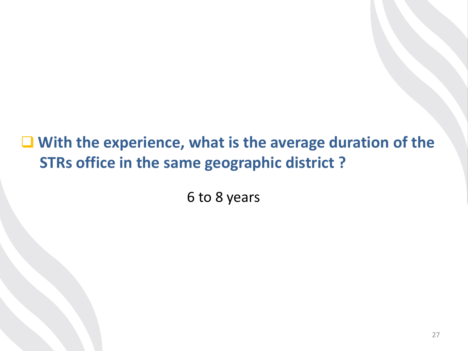■ With the experience, what is the average duration of the **STRs office in the same geographic district ?** 

6 to 8 years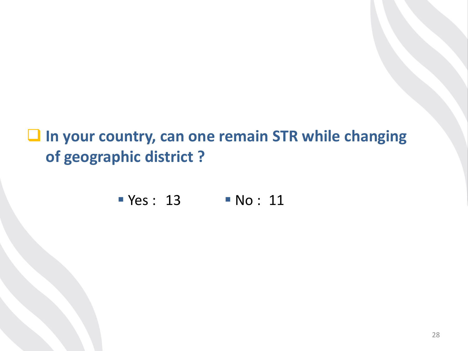$\Box$  In your country, can one remain STR while changing **of geographic district ?**

**Yes: 13 No: 11**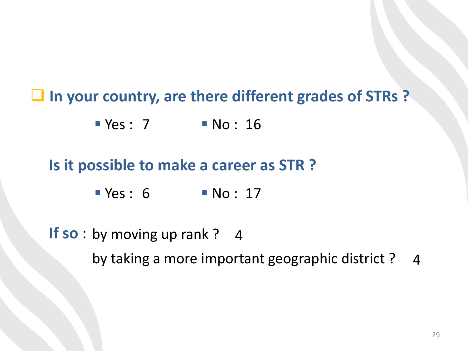**In your country, are there different grades of STRs ?** 

 $Yes: 7$  No: 16

#### **Is it possible to make a career as STR ?**

 $Yes: 6$   $No: 17$ 

**If so**: by moving up rank? 4 by taking a more important geographic district ? 4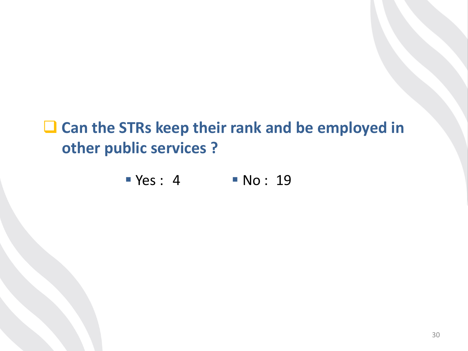## ■ Can the STRs keep their rank and be employed in **other public services ?**

 $Yes: 4$   $No: 19$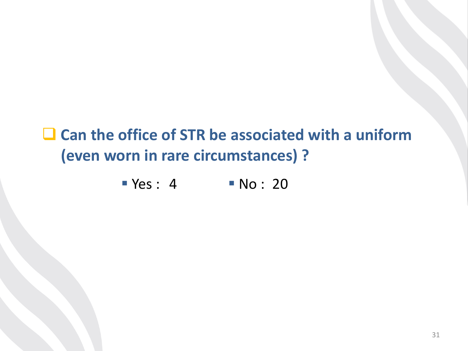## ■ Can the office of STR be associated with a uniform **(even worn in rare circumstances) ?**

 $Yes: 4$   $No: 20$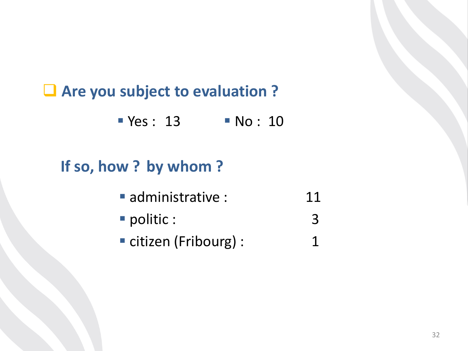## **Are you subject to evaluation ?**

 $Yes : 13$  No: 10

## **If so, how ? by whom ?**

- administrative : 11
- **P** politic : 3
- citizen (Fribourg) : 1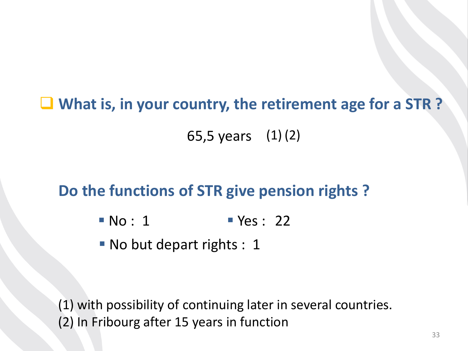**What is, in your country, the retirement age for a STR ?**

65,5 years (1) (2)

### **Do the functions of STR give pension rights ?**

- $\blacksquare$  No : 1  $\blacksquare$  Yes : 22
- No but depart rights : 1

(1) with possibility of continuing later in several countries. (2) In Fribourg after 15 years in function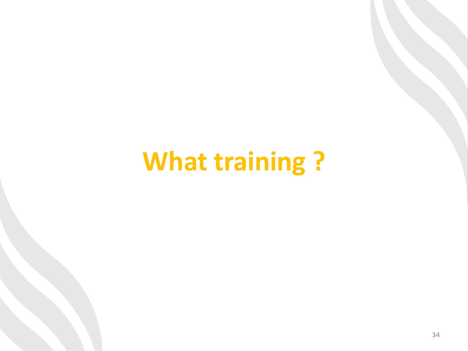## **What training ?**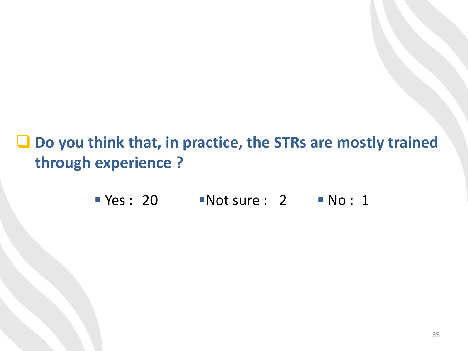**Do you think that, in practice, the STRs are mostly trained through experience ?**

 $Yes : 20$  Not sure : 2 No : 1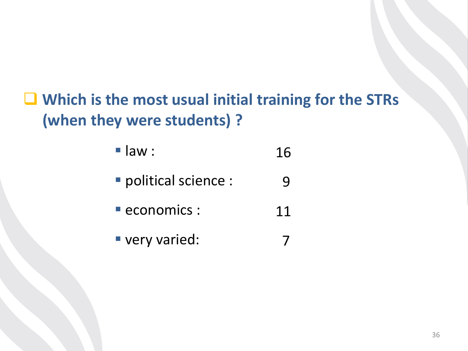## **Which is the most usual initial training for the STRs (when they were students) ?**

 $\blacksquare$  law : 16

- **political science :** 9
- economics : 11
- very varied: 7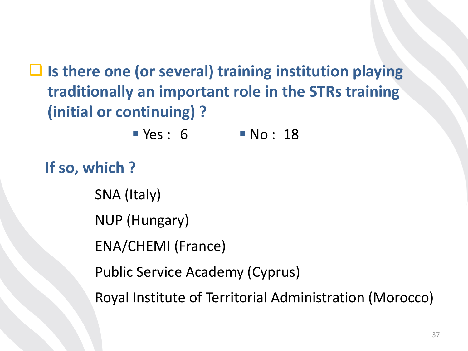**Is there one (or several) training institution playing traditionally an important role in the STRs training (initial or continuing) ?**

 $Yes: 6$  No: 18

**If so, which ?**

SNA (Italy)

NUP (Hungary)

ENA/CHEMI (France)

Public Service Academy (Cyprus)

Royal Institute of Territorial Administration (Morocco)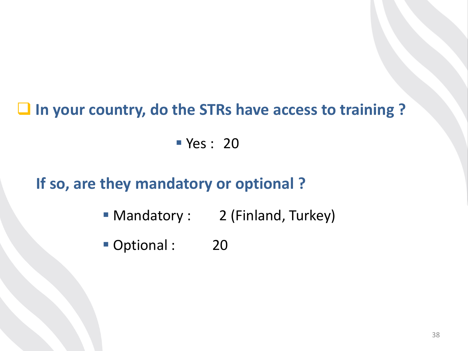#### **In your country, do the STRs have access to training ?**

**Yes : 20** 

#### **If so, are they mandatory or optional ?**

- Mandatory : 2 (Finland, Turkey)
- Optional : 20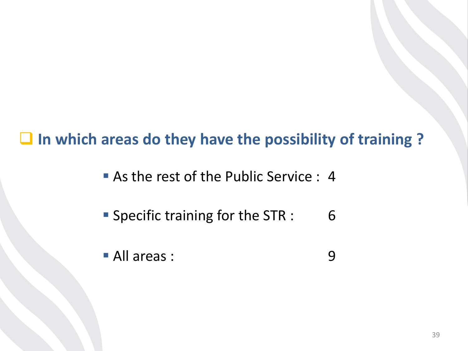#### **In which areas do they have the possibility of training ?**

- As the rest of the Public Service : 4
- **Specific training for the STR :** 6
- All areas : 9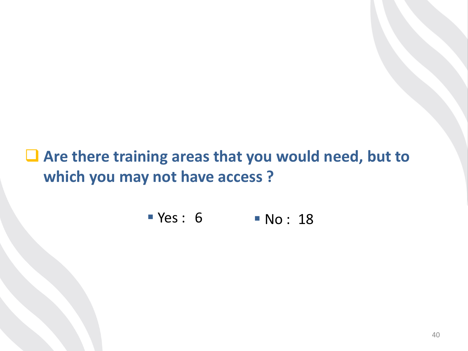■ Are there training areas that you would need, but to **which you may not have access ?**

P Yes: 6 P No: 18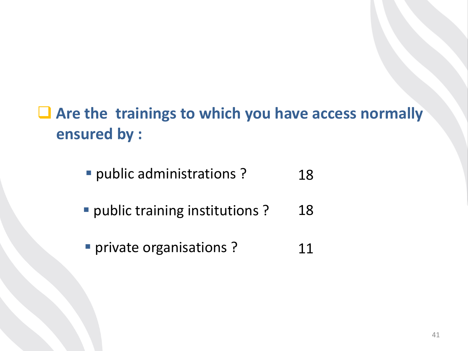# **Are the trainings to which you have access normally ensured by :**

- **P** public administrations? 18
- **P** public training institutions ? 18
- **Private organisations ?** 11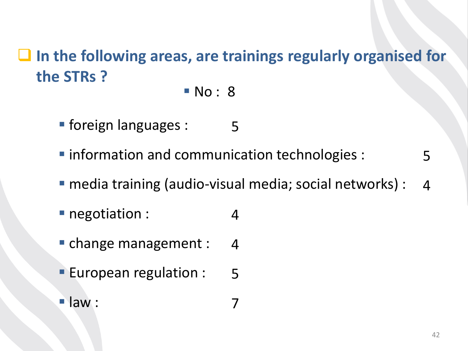#### **In the following areas, are trainings regularly organised for the STRs ?**

**No** : 8

- **foreign languages :** 5
- $\blacksquare$  information and communication technologies : 5
- media training (audio-visual media; social networks) : 4

7

- **negotiation :** 4
- **change management :** 4
- **European regulation :** 5
- $\blacksquare$ law :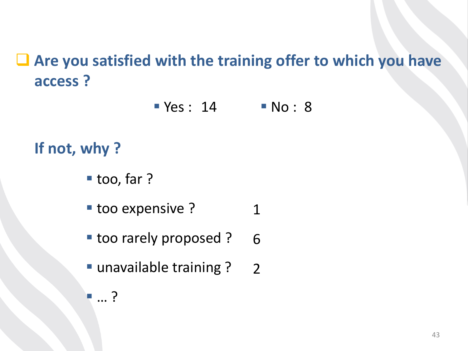# **Are you satisfied with the training offer to which you have access ?**

 $Yes : 14$  No: 8

#### **If not, why ?**

- too, far ?
- **too expensive ?** 1
- **too rarely proposed ?** 6
- unavailable training ? 2

… ?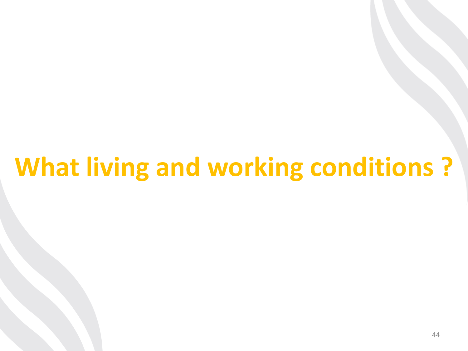# **What living and working conditions ?**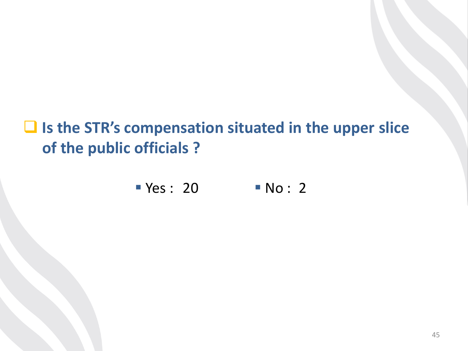# **Is the STR's compensation situated in the upper slice of the public officials ?**

$$
\blacksquare Yes: 20 \blacksquare No: 2
$$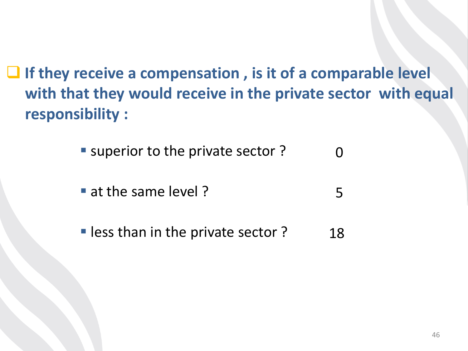**If they receive a compensation , is it of a comparable level with that they would receive in the private sector with equal responsibility :**

> ■ superior to the private sector ?  $\Omega$

- at the same level? 5
- **less than in the private sector ?** 18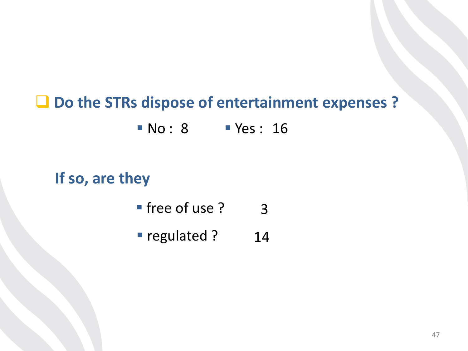# **Do the STRs dispose of entertainment expenses ? No : 8 Yes : 16**

#### **If so, are they**

- free of use ? 3
- **regulated ?** 14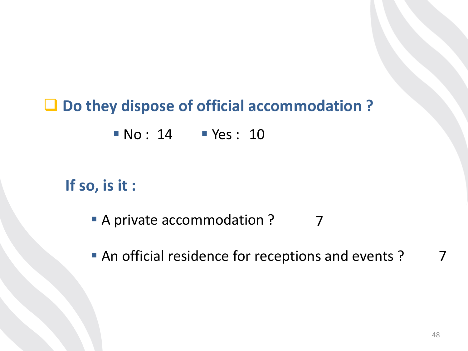#### **Do they dispose of official accommodation ?**

**No: 14 Yes: 10** 

#### **If so, is it :**

- A private accommodation ? 7
- An official residence for receptions and events? 7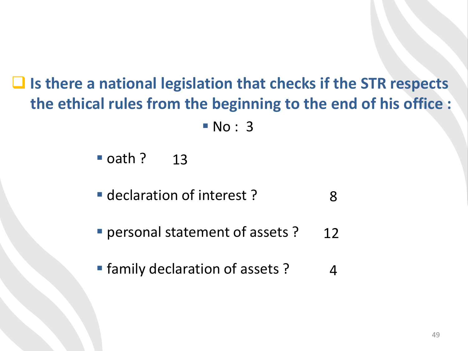**Is there a national legislation that checks if the STR respects the ethical rules from the beginning to the end of his office :**

**No** : 3

■ oath ? 13

**declaration of interest?** 8

**Personal statement of assets ?** 12

**Fig. 1** family declaration of assets ? 4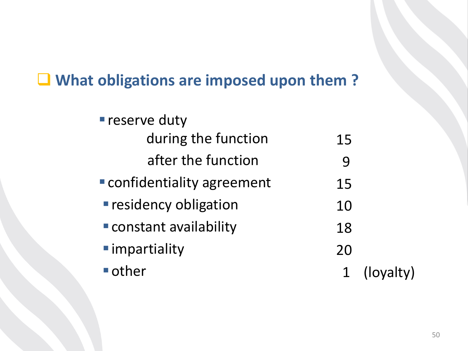#### **What obligations are imposed upon them ?**

| <b>reserve duty</b>         |    |           |
|-----------------------------|----|-----------|
| during the function         | 15 |           |
| after the function          | 9  |           |
| Confidentiality agreement   | 15 |           |
| <b>residency obligation</b> | 10 |           |
| Constant availability       | 18 |           |
| ■ impartiality              | 20 |           |
| $\blacksquare$ other        |    | (loyalty) |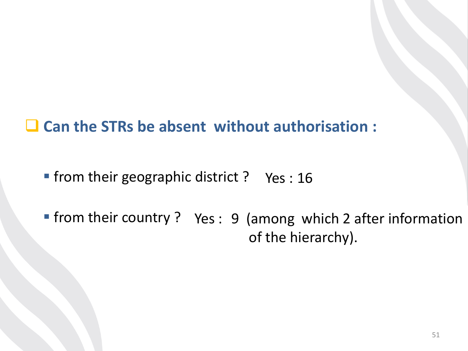**Can the STRs be absent without authorisation :**

**Firm their geographic district ? Yes : 16** 

**Firm their country ?** Yes : 9 (among which 2 after information of the hierarchy).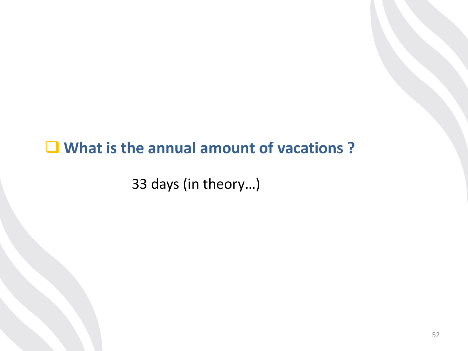#### **What is the annual amount of vacations ?**

33 days (in theory…)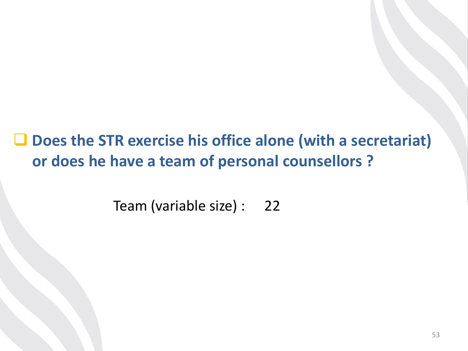**Does the STR exercise his office alone (with a secretariat) or does he have a team of personal counsellors ?**

> Team (variable size) : 22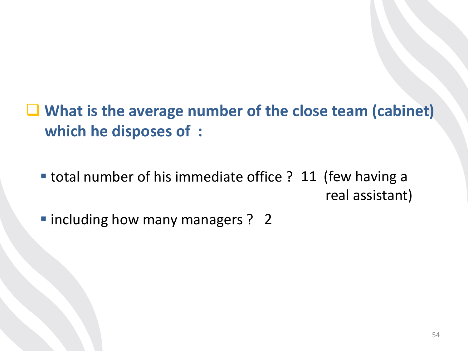- **What is the average number of the close team (cabinet) which he disposes of :**
	- **total number of his immediate office ? 11 (few having a** real assistant)
	- $\blacksquare$  including how many managers ? 2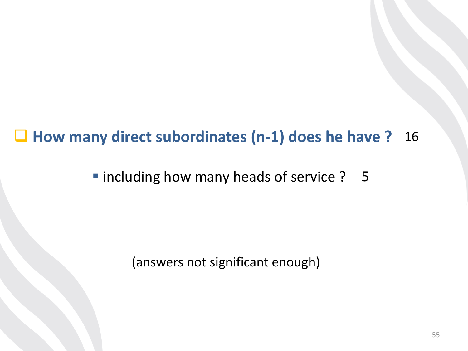#### **How many direct subordinates (n-1) does he have ?** 16

**Including how many heads of service ? 5** 

(answers not significant enough)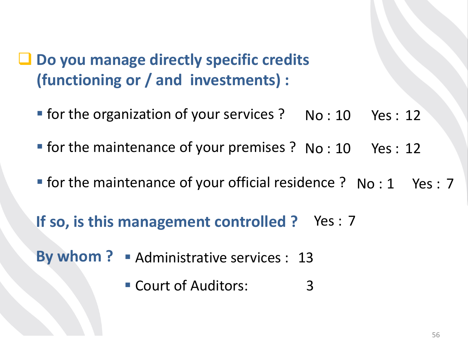# **Do you manage directly specific credits (functioning or / and investments) :**

- **for the organization of your services ?** No : 10 Yes : 12
- **Fight** for the maintenance of your premises ? No : 10 Yes : 12
- **Fighthare in the maintenance of your official residence ? No : 1 Yes : 7**

If so, is this management controlled ? Yes : 7

By whom ? Administrative services : 13

 Court of Auditors: 3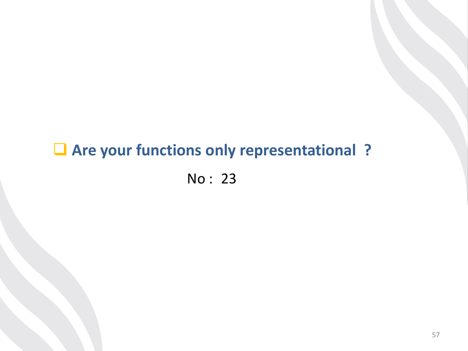# **Are your functions only representational ?**

No : 23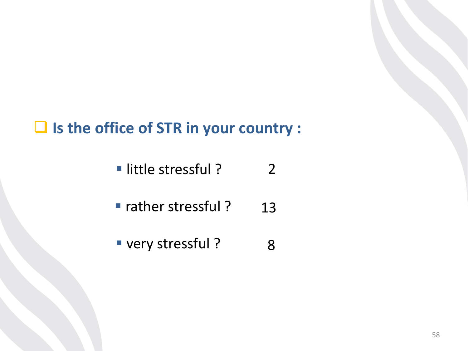#### **Is the office of STR in your country :**

- little stressful ? 2
- rather stressful ? 13
- very stressful? 8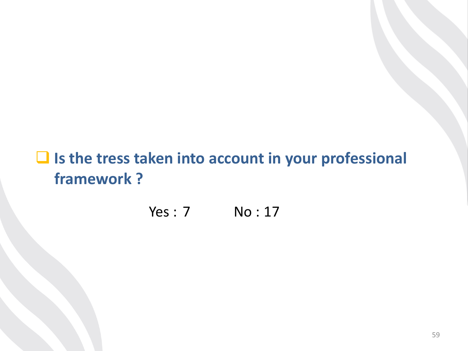#### **Is the tress taken into account in your professional framework ?**

Yes : 7 No : 17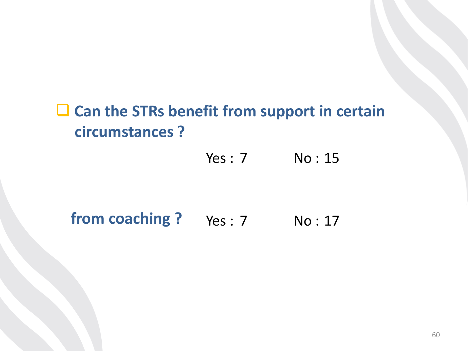# **Can the STRs benefit from support in certain circumstances ?**

Yes : 7 No : 15

#### **from coaching?** Yes: 7 No: 17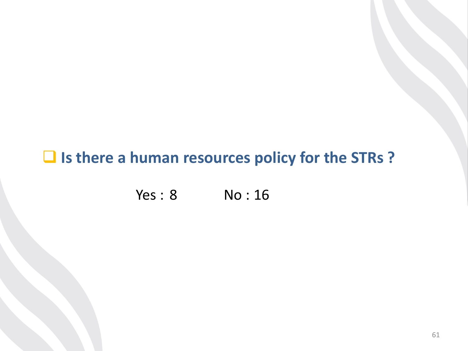#### **Is there a human resources policy for the STRs ?**

Yes : 8 No : 16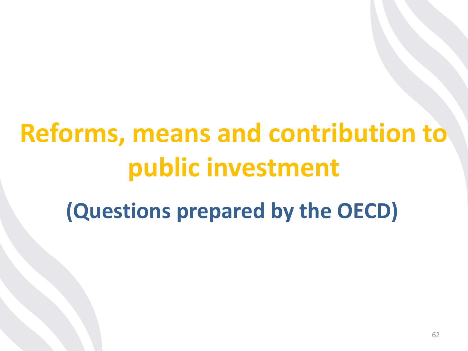# **Reforms, means and contribution to public investment**

# **(Questions prepared by the OECD)**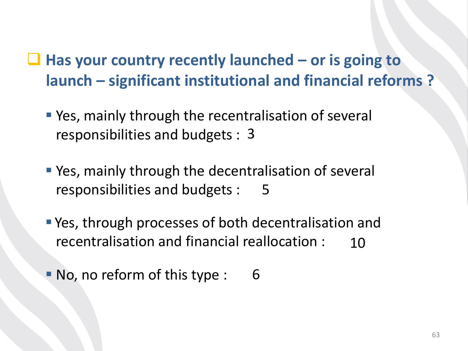- **Has your country recently launched – or is going to launch – significant institutional and financial reforms ?**
	- **P** Yes, mainly through the recentralisation of several responsibilities and budgets : 3
	- **P** Yes, mainly through the decentralisation of several responsibilities and budgets : 5
	- Yes, through processes of both decentralisation and recentralisation and financial reallocation : 10
	- No, no reform of this type : 6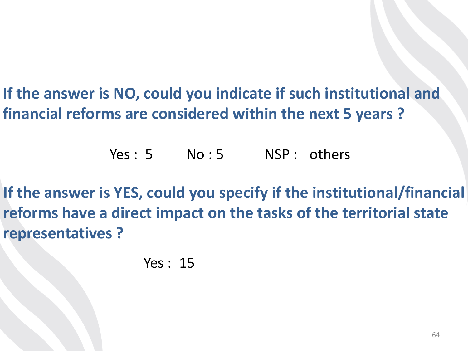**If the answer is NO, could you indicate if such institutional and financial reforms are considered within the next 5 years ?** 

Yes: 5 No: 5 NSP: others

**If the answer is YES, could you specify if the institutional/financial reforms have a direct impact on the tasks of the territorial state representatives ?**

Yes : 15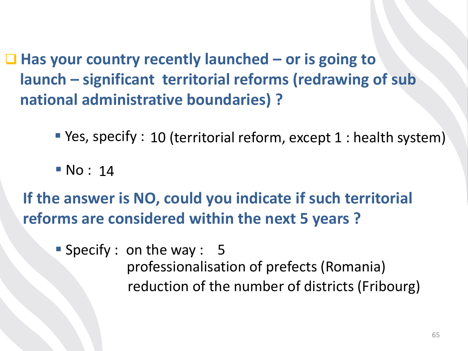■ Has your country recently launched – or is going to **launch – significant territorial reforms (redrawing of sub national administrative boundaries) ?**

**P** Yes, specify : 10 (territorial reform, except 1 : health system)

**No**: 14

**If the answer is NO, could you indicate if such territorial reforms are considered within the next 5 years ?** 

Specify : on the way : 5 professionalisation of prefects (Romania) reduction of the number of districts (Fribourg)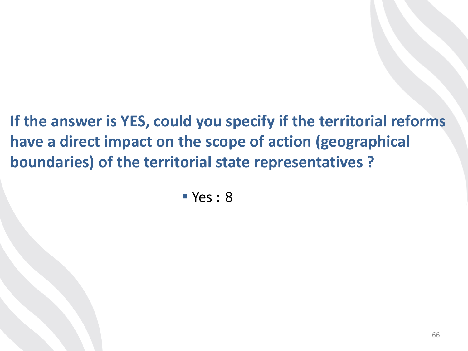**If the answer is YES, could you specify if the territorial reforms have a direct impact on the scope of action (geographical boundaries) of the territorial state representatives ?**

 $Yes: 8$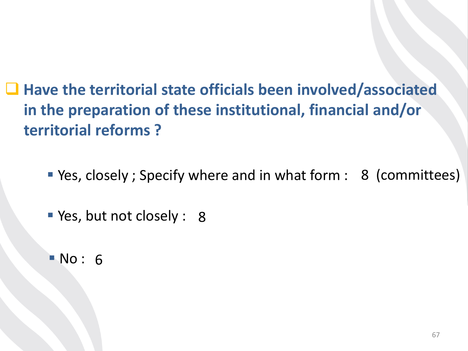**Have the territorial state officials been involved/associated in the preparation of these institutional, financial and/or territorial reforms ?**

Yes, closely ; Specify where and in what form : 8 (committees)

**P** Yes, but not closely : 8

**No: 6**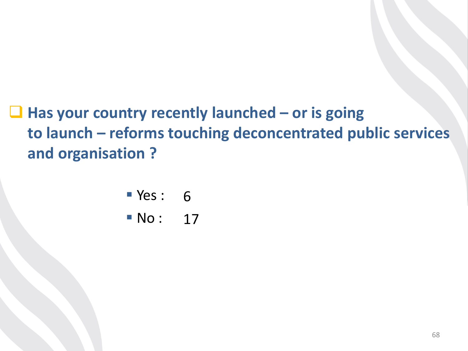**Has your country recently launched – or is going to launch – reforms touching deconcentrated public services and organisation ?** 

- ves: 6
- **No:** 17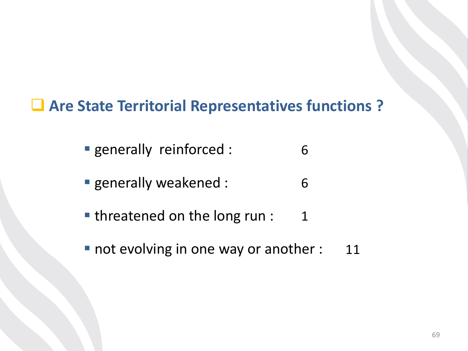#### **Are State Territorial Representatives functions ?**

- generally reinforced : 6
- **generally weakened :** 6
- **threatened on the long run :** 1
- not evolving in one way or another : 11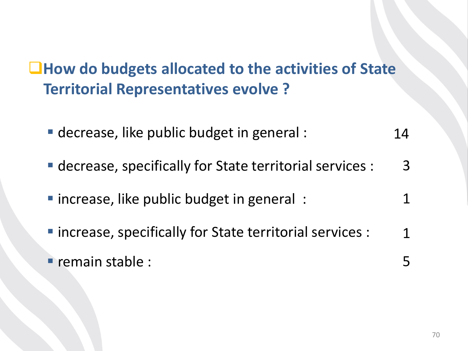# **How do budgets allocated to the activities of State Territorial Representatives evolve ?**

- decrease, like public budget in general : 14
- decrease, specifically for State territorial services : 3
- **I** increase, like public budget in general : 1
- **Increase, specifically for State territorial services :** 1
- $\blacksquare$  remain stable : 5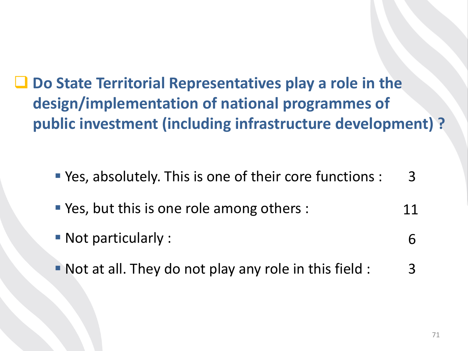■ Do State Territorial Representatives play a role in the **design/implementation of national programmes of public investment (including infrastructure development) ?**

 Yes, absolutely. This is one of their core functions : 3

- **P** Yes, but this is one role among others : 11
- Not particularly : 6
- Not at all. They do not play any role in this field : 3